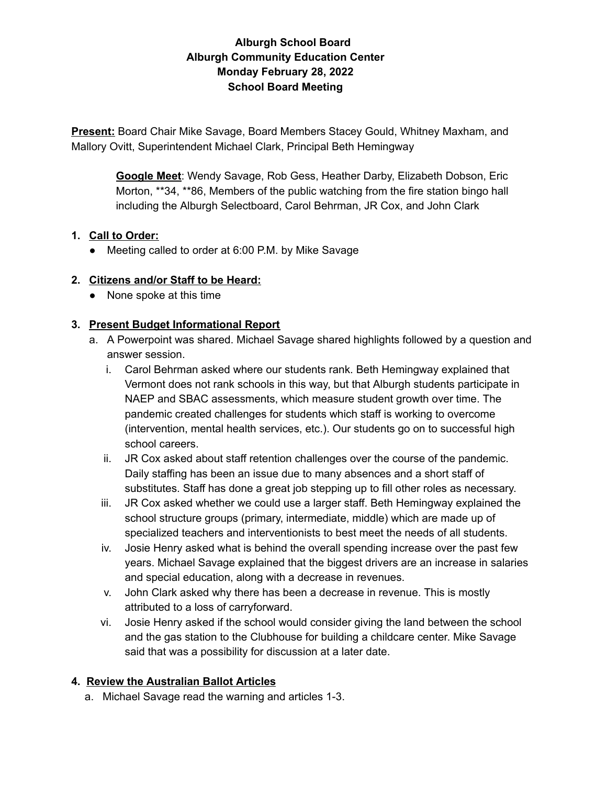# **Alburgh School Board Alburgh Community Education Center Monday February 28, 2022 School Board Meeting**

**Present:** Board Chair Mike Savage, Board Members Stacey Gould, Whitney Maxham, and Mallory Ovitt, Superintendent Michael Clark, Principal Beth Hemingway

> **Google Meet**: Wendy Savage, Rob Gess, Heather Darby, Elizabeth Dobson, Eric Morton, \*\*34, \*\*86, Members of the public watching from the fire station bingo hall including the Alburgh Selectboard, Carol Behrman, JR Cox, and John Clark

### **1. Call to Order:**

● Meeting called to order at 6:00 P.M. by Mike Savage

#### **2. Citizens and/or Staff to be Heard:**

● None spoke at this time

#### **3. Present Budget Informational Report**

- a. A Powerpoint was shared. Michael Savage shared highlights followed by a question and answer session.
	- i. Carol Behrman asked where our students rank. Beth Hemingway explained that Vermont does not rank schools in this way, but that Alburgh students participate in NAEP and SBAC assessments, which measure student growth over time. The pandemic created challenges for students which staff is working to overcome (intervention, mental health services, etc.). Our students go on to successful high school careers.
	- ii. JR Cox asked about staff retention challenges over the course of the pandemic. Daily staffing has been an issue due to many absences and a short staff of substitutes. Staff has done a great job stepping up to fill other roles as necessary.
	- iii. JR Cox asked whether we could use a larger staff. Beth Hemingway explained the school structure groups (primary, intermediate, middle) which are made up of specialized teachers and interventionists to best meet the needs of all students.
	- iv. Josie Henry asked what is behind the overall spending increase over the past few years. Michael Savage explained that the biggest drivers are an increase in salaries and special education, along with a decrease in revenues.
	- v. John Clark asked why there has been a decrease in revenue. This is mostly attributed to a loss of carryforward.
	- vi. Josie Henry asked if the school would consider giving the land between the school and the gas station to the Clubhouse for building a childcare center. Mike Savage said that was a possibility for discussion at a later date.

### **4. Review the Australian Ballot Articles**

a. Michael Savage read the warning and articles 1-3.